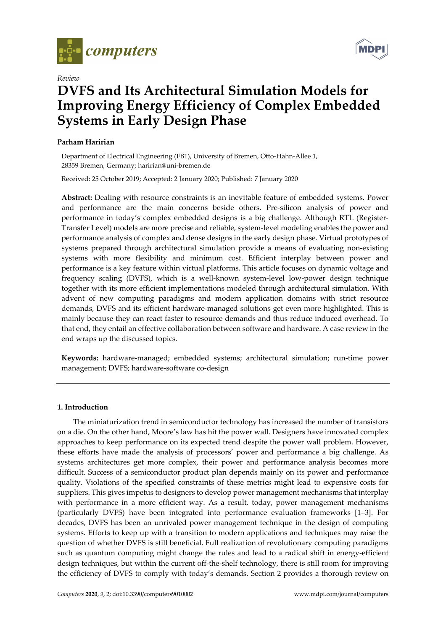

*Review* 

# **DVFS and Its Architectural Simulation Models for Improving Energy Efficiency of Complex Embedded Systems in Early Design Phase**

# **Parham Haririan**

Department of Electrical Engineering (FB1), University of Bremen, Otto-Hahn-Allee 1, 28359 Bremen, Germany; haririan@uni-bremen.de

Received: 25 October 2019; Accepted: 2 January 2020; Published: 7 January 2020

**Abstract:** Dealing with resource constraints is an inevitable feature of embedded systems. Power and performance are the main concerns beside others. Pre-silicon analysis of power and performance in today's complex embedded designs is a big challenge. Although RTL (Register-Transfer Level) models are more precise and reliable, system-level modeling enables the power and performance analysis of complex and dense designs in the early design phase. Virtual prototypes of systems prepared through architectural simulation provide a means of evaluating non-existing systems with more flexibility and minimum cost. Efficient interplay between power and performance is a key feature within virtual platforms. This article focuses on dynamic voltage and frequency scaling (DVFS), which is a well-known system-level low-power design technique together with its more efficient implementations modeled through architectural simulation. With advent of new computing paradigms and modern application domains with strict resource demands, DVFS and its efficient hardware-managed solutions get even more highlighted. This is mainly because they can react faster to resource demands and thus reduce induced overhead. To that end, they entail an effective collaboration between software and hardware. A case review in the end wraps up the discussed topics.

**Keywords:** hardware-managed; embedded systems; architectural simulation; run-time power management; DVFS; hardware-software co-design

# **1. Introduction**

The miniaturization trend in semiconductor technology has increased the number of transistors on a die. On the other hand, Moore's law has hit the power wall. Designers have innovated complex approaches to keep performance on its expected trend despite the power wall problem. However, these efforts have made the analysis of processors' power and performance a big challenge. As systems architectures get more complex, their power and performance analysis becomes more difficult. Success of a semiconductor product plan depends mainly on its power and performance quality. Violations of the specified constraints of these metrics might lead to expensive costs for suppliers. This gives impetus to designers to develop power management mechanisms that interplay with performance in a more efficient way. As a result, today, power management mechanisms (particularly DVFS) have been integrated into performance evaluation frameworks [1–3]. For decades, DVFS has been an unrivaled power management technique in the design of computing systems. Efforts to keep up with a transition to modern applications and techniques may raise the question of whether DVFS is still beneficial. Full realization of revolutionary computing paradigms such as quantum computing might change the rules and lead to a radical shift in energy-efficient design techniques, but within the current off-the-shelf technology, there is still room for improving the efficiency of DVFS to comply with today's demands. Section 2 provides a thorough review on

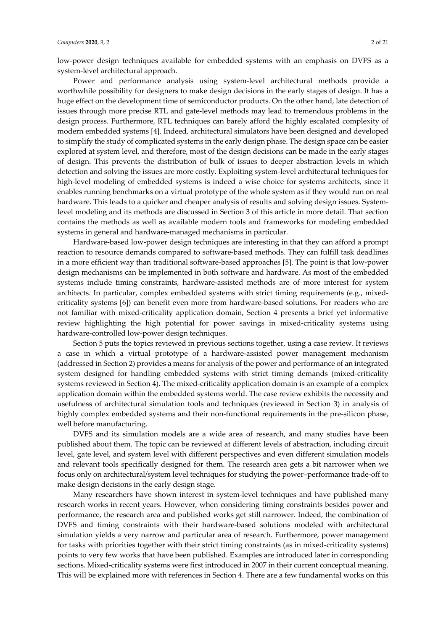low-power design techniques available for embedded systems with an emphasis on DVFS as a system-level architectural approach.

Power and performance analysis using system-level architectural methods provide a worthwhile possibility for designers to make design decisions in the early stages of design. It has a huge effect on the development time of semiconductor products. On the other hand, late detection of issues through more precise RTL and gate-level methods may lead to tremendous problems in the design process. Furthermore, RTL techniques can barely afford the highly escalated complexity of modern embedded systems [4]. Indeed, architectural simulators have been designed and developed to simplify the study of complicated systems in the early design phase. The design space can be easier explored at system level, and therefore, most of the design decisions can be made in the early stages of design. This prevents the distribution of bulk of issues to deeper abstraction levels in which detection and solving the issues are more costly. Exploiting system-level architectural techniques for high-level modeling of embedded systems is indeed a wise choice for systems architects, since it enables running benchmarks on a virtual prototype of the whole system as if they would run on real hardware. This leads to a quicker and cheaper analysis of results and solving design issues. Systemlevel modeling and its methods are discussed in Section 3 of this article in more detail. That section contains the methods as well as available modern tools and frameworks for modeling embedded systems in general and hardware-managed mechanisms in particular.

Hardware-based low-power design techniques are interesting in that they can afford a prompt reaction to resource demands compared to software-based methods. They can fulfill task deadlines in a more efficient way than traditional software-based approaches [5]. The point is that low-power design mechanisms can be implemented in both software and hardware. As most of the embedded systems include timing constraints, hardware-assisted methods are of more interest for system architects. In particular, complex embedded systems with strict timing requirements (e.g., mixedcriticality systems [6]) can benefit even more from hardware-based solutions. For readers who are not familiar with mixed-criticality application domain, Section 4 presents a brief yet informative review highlighting the high potential for power savings in mixed-criticality systems using hardware-controlled low-power design techniques.

Section 5 puts the topics reviewed in previous sections together, using a case review. It reviews a case in which a virtual prototype of a hardware-assisted power management mechanism (addressed in Section 2) provides a means for analysis of the power and performance of an integrated system designed for handling embedded systems with strict timing demands (mixed-criticality systems reviewed in Section 4). The mixed-criticality application domain is an example of a complex application domain within the embedded systems world. The case review exhibits the necessity and usefulness of architectural simulation tools and techniques (reviewed in Section 3) in analysis of highly complex embedded systems and their non-functional requirements in the pre-silicon phase, well before manufacturing.

DVFS and its simulation models are a wide area of research, and many studies have been published about them. The topic can be reviewed at different levels of abstraction, including circuit level, gate level, and system level with different perspectives and even different simulation models and relevant tools specifically designed for them. The research area gets a bit narrower when we focus only on architectural/system level techniques for studying the power–performance trade-off to make design decisions in the early design stage.

Many researchers have shown interest in system-level techniques and have published many research works in recent years. However, when considering timing constraints besides power and performance, the research area and published works get still narrower. Indeed, the combination of DVFS and timing constraints with their hardware-based solutions modeled with architectural simulation yields a very narrow and particular area of research. Furthermore, power management for tasks with priorities together with their strict timing constraints (as in mixed-criticality systems) points to very few works that have been published. Examples are introduced later in corresponding sections. Mixed-criticality systems were first introduced in 2007 in their current conceptual meaning. This will be explained more with references in Section 4. There are a few fundamental works on this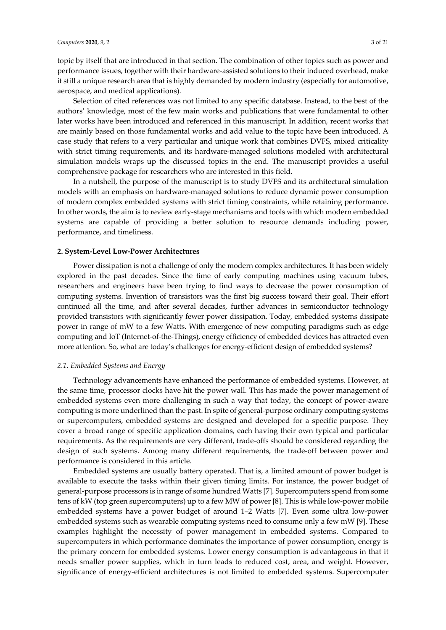topic by itself that are introduced in that section. The combination of other topics such as power and performance issues, together with their hardware-assisted solutions to their induced overhead, make it still a unique research area that is highly demanded by modern industry (especially for automotive,

aerospace, and medical applications). Selection of cited references was not limited to any specific database. Instead, to the best of the authors' knowledge, most of the few main works and publications that were fundamental to other later works have been introduced and referenced in this manuscript. In addition, recent works that are mainly based on those fundamental works and add value to the topic have been introduced. A case study that refers to a very particular and unique work that combines DVFS, mixed criticality with strict timing requirements, and its hardware-managed solutions modeled with architectural simulation models wraps up the discussed topics in the end. The manuscript provides a useful comprehensive package for researchers who are interested in this field.

In a nutshell, the purpose of the manuscript is to study DVFS and its architectural simulation models with an emphasis on hardware-managed solutions to reduce dynamic power consumption of modern complex embedded systems with strict timing constraints, while retaining performance. In other words, the aim is to review early-stage mechanisms and tools with which modern embedded systems are capable of providing a better solution to resource demands including power, performance, and timeliness.

# **2. System-Level Low-Power Architectures**

Power dissipation is not a challenge of only the modern complex architectures. It has been widely explored in the past decades. Since the time of early computing machines using vacuum tubes, researchers and engineers have been trying to find ways to decrease the power consumption of computing systems. Invention of transistors was the first big success toward their goal. Their effort continued all the time, and after several decades, further advances in semiconductor technology provided transistors with significantly fewer power dissipation. Today, embedded systems dissipate power in range of mW to a few Watts. With emergence of new computing paradigms such as edge computing and IoT (Internet-of-the-Things), energy efficiency of embedded devices has attracted even more attention. So, what are today's challenges for energy-efficient design of embedded systems?

# *2.1. Embedded Systems and Energy*

Technology advancements have enhanced the performance of embedded systems. However, at the same time, processor clocks have hit the power wall. This has made the power management of embedded systems even more challenging in such a way that today, the concept of power-aware computing is more underlined than the past. In spite of general-purpose ordinary computing systems or supercomputers, embedded systems are designed and developed for a specific purpose. They cover a broad range of specific application domains, each having their own typical and particular requirements. As the requirements are very different, trade-offs should be considered regarding the design of such systems. Among many different requirements, the trade-off between power and performance is considered in this article.

Embedded systems are usually battery operated. That is, a limited amount of power budget is available to execute the tasks within their given timing limits. For instance, the power budget of general-purpose processors is in range of some hundred Watts [7]. Supercomputers spend from some tens of kW (top green supercomputers) up to a few MW of power [8]. This is while low-power mobile embedded systems have a power budget of around 1–2 Watts [7]. Even some ultra low-power embedded systems such as wearable computing systems need to consume only a few mW [9]. These examples highlight the necessity of power management in embedded systems. Compared to supercomputers in which performance dominates the importance of power consumption, energy is the primary concern for embedded systems. Lower energy consumption is advantageous in that it needs smaller power supplies, which in turn leads to reduced cost, area, and weight. However, significance of energy-efficient architectures is not limited to embedded systems. Supercomputer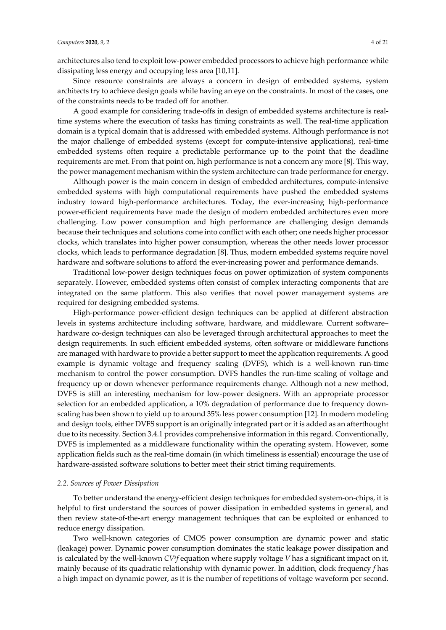architectures also tend to exploit low-power embedded processors to achieve high performance while dissipating less energy and occupying less area [10,11].

Since resource constraints are always a concern in design of embedded systems, system architects try to achieve design goals while having an eye on the constraints. In most of the cases, one of the constraints needs to be traded off for another.

A good example for considering trade-offs in design of embedded systems architecture is realtime systems where the execution of tasks has timing constraints as well. The real-time application domain is a typical domain that is addressed with embedded systems. Although performance is not the major challenge of embedded systems (except for compute-intensive applications), real-time embedded systems often require a predictable performance up to the point that the deadline requirements are met. From that point on, high performance is not a concern any more [8]. This way, the power management mechanism within the system architecture can trade performance for energy.

Although power is the main concern in design of embedded architectures, compute-intensive embedded systems with high computational requirements have pushed the embedded systems industry toward high-performance architectures. Today, the ever-increasing high-performance power-efficient requirements have made the design of modern embedded architectures even more challenging. Low power consumption and high performance are challenging design demands because their techniques and solutions come into conflict with each other; one needs higher processor clocks, which translates into higher power consumption, whereas the other needs lower processor clocks, which leads to performance degradation [8]. Thus, modern embedded systems require novel hardware and software solutions to afford the ever-increasing power and performance demands.

Traditional low-power design techniques focus on power optimization of system components separately. However, embedded systems often consist of complex interacting components that are integrated on the same platform. This also verifies that novel power management systems are required for designing embedded systems.

High-performance power-efficient design techniques can be applied at different abstraction levels in systems architecture including software, hardware, and middleware. Current software– hardware co-design techniques can also be leveraged through architectural approaches to meet the design requirements. In such efficient embedded systems, often software or middleware functions are managed with hardware to provide a better support to meet the application requirements. A good example is dynamic voltage and frequency scaling (DVFS), which is a well-known run-time mechanism to control the power consumption. DVFS handles the run-time scaling of voltage and frequency up or down whenever performance requirements change. Although not a new method, DVFS is still an interesting mechanism for low-power designers. With an appropriate processor selection for an embedded application, a 10% degradation of performance due to frequency downscaling has been shown to yield up to around 35% less power consumption [12]. In modern modeling and design tools, either DVFS support is an originally integrated part or it is added as an afterthought due to its necessity. Section 3.4.1 provides comprehensive information in this regard. Conventionally, DVFS is implemented as a middleware functionality within the operating system. However, some application fields such as the real-time domain (in which timeliness is essential) encourage the use of hardware-assisted software solutions to better meet their strict timing requirements.

#### *2.2. Sources of Power Dissipation*

To better understand the energy-efficient design techniques for embedded system-on-chips, it is helpful to first understand the sources of power dissipation in embedded systems in general, and then review state-of-the-art energy management techniques that can be exploited or enhanced to reduce energy dissipation.

Two well-known categories of CMOS power consumption are dynamic power and static (leakage) power. Dynamic power consumption dominates the static leakage power dissipation and is calculated by the well-known *CV<sup>2</sup>f* equation where supply voltage *V* has a significant impact on it, mainly because of its quadratic relationship with dynamic power. In addition, clock frequency *f* has a high impact on dynamic power, as it is the number of repetitions of voltage waveform per second.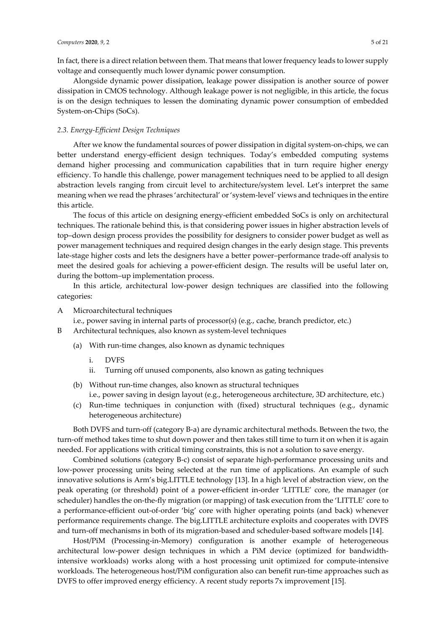In fact, there is a direct relation between them. That means that lower frequency leads to lower supply voltage and consequently much lower dynamic power consumption.

Alongside dynamic power dissipation, leakage power dissipation is another source of power dissipation in CMOS technology. Although leakage power is not negligible, in this article, the focus is on the design techniques to lessen the dominating dynamic power consumption of embedded System-on-Chips (SoCs).

# *2.3. Energy-Efficient Design Techniques*

After we know the fundamental sources of power dissipation in digital system-on-chips, we can better understand energy-efficient design techniques. Today's embedded computing systems demand higher processing and communication capabilities that in turn require higher energy efficiency. To handle this challenge, power management techniques need to be applied to all design abstraction levels ranging from circuit level to architecture/system level. Let's interpret the same meaning when we read the phrases 'architectural' or 'system-level' views and techniques in the entire this article.

The focus of this article on designing energy-efficient embedded SoCs is only on architectural techniques. The rationale behind this, is that considering power issues in higher abstraction levels of top–down design process provides the possibility for designers to consider power budget as well as power management techniques and required design changes in the early design stage. This prevents late-stage higher costs and lets the designers have a better power–performance trade-off analysis to meet the desired goals for achieving a power-efficient design. The results will be useful later on, during the bottom–up implementation process.

In this article, architectural low-power design techniques are classified into the following categories:

A Microarchitectural techniques

i.e., power saving in internal parts of processor(s) (e.g., cache, branch predictor, etc.)

- B Architectural techniques, also known as system-level techniques
	- (a) With run-time changes, also known as dynamic techniques
		- i. DVFS
		- ii. Turning off unused components, also known as gating techniques
	- (b) Without run-time changes, also known as structural techniques i.e., power saving in design layout (e.g., heterogeneous architecture, 3D architecture, etc.)
	- (c) Run-time techniques in conjunction with (fixed) structural techniques (e.g., dynamic heterogeneous architecture)

Both DVFS and turn-off (category B-a) are dynamic architectural methods. Between the two, the turn-off method takes time to shut down power and then takes still time to turn it on when it is again needed. For applications with critical timing constraints, this is not a solution to save energy.

Combined solutions (category B-c) consist of separate high-performance processing units and low-power processing units being selected at the run time of applications. An example of such innovative solutions is Arm's big.LITTLE technology [13]. In a high level of abstraction view, on the peak operating (or threshold) point of a power-efficient in-order 'LITTLE' core, the manager (or scheduler) handles the on-the-fly migration (or mapping) of task execution from the 'LITTLE' core to a performance-efficient out-of-order 'big' core with higher operating points (and back) whenever performance requirements change. The big.LITTLE architecture exploits and cooperates with DVFS and turn-off mechanisms in both of its migration-based and scheduler-based software models [14].

Host/PiM (Processing-in-Memory) configuration is another example of heterogeneous architectural low-power design techniques in which a PiM device (optimized for bandwidthintensive workloads) works along with a host processing unit optimized for compute-intensive workloads. The heterogeneous host/PiM configuration also can benefit run-time approaches such as DVFS to offer improved energy efficiency. A recent study reports 7x improvement [15].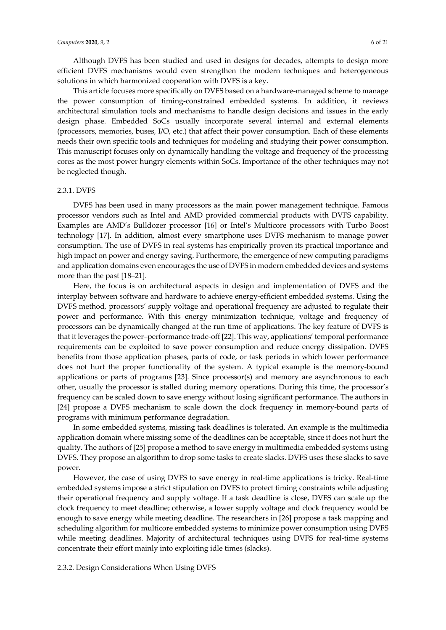Although DVFS has been studied and used in designs for decades, attempts to design more efficient DVFS mechanisms would even strengthen the modern techniques and heterogeneous solutions in which harmonized cooperation with DVFS is a key.

This article focuses more specifically on DVFS based on a hardware-managed scheme to manage the power consumption of timing-constrained embedded systems. In addition, it reviews architectural simulation tools and mechanisms to handle design decisions and issues in the early design phase. Embedded SoCs usually incorporate several internal and external elements (processors, memories, buses, I/O, etc.) that affect their power consumption. Each of these elements needs their own specific tools and techniques for modeling and studying their power consumption. This manuscript focuses only on dynamically handling the voltage and frequency of the processing cores as the most power hungry elements within SoCs. Importance of the other techniques may not be neglected though.

#### 2.3.1. DVFS

DVFS has been used in many processors as the main power management technique. Famous processor vendors such as Intel and AMD provided commercial products with DVFS capability. Examples are AMD's Bulldozer processor [16] or Intel's Multicore processors with Turbo Boost technology [17]. In addition, almost every smartphone uses DVFS mechanism to manage power consumption. The use of DVFS in real systems has empirically proven its practical importance and high impact on power and energy saving. Furthermore, the emergence of new computing paradigms and application domains even encourages the use of DVFS in modern embedded devices and systems more than the past [18–21].

Here, the focus is on architectural aspects in design and implementation of DVFS and the interplay between software and hardware to achieve energy-efficient embedded systems. Using the DVFS method, processors' supply voltage and operational frequency are adjusted to regulate their power and performance. With this energy minimization technique, voltage and frequency of processors can be dynamically changed at the run time of applications. The key feature of DVFS is that it leverages the power–performance trade-off [22]. This way, applications' temporal performance requirements can be exploited to save power consumption and reduce energy dissipation. DVFS benefits from those application phases, parts of code, or task periods in which lower performance does not hurt the proper functionality of the system. A typical example is the memory-bound applications or parts of programs [23]. Since processor(s) and memory are asynchronous to each other, usually the processor is stalled during memory operations. During this time, the processor's frequency can be scaled down to save energy without losing significant performance. The authors in [24] propose a DVFS mechanism to scale down the clock frequency in memory-bound parts of programs with minimum performance degradation.

In some embedded systems, missing task deadlines is tolerated. An example is the multimedia application domain where missing some of the deadlines can be acceptable, since it does not hurt the quality. The authors of [25] propose a method to save energy in multimedia embedded systems using DVFS. They propose an algorithm to drop some tasks to create slacks. DVFS uses these slacks to save power.

However, the case of using DVFS to save energy in real-time applications is tricky. Real-time embedded systems impose a strict stipulation on DVFS to protect timing constraints while adjusting their operational frequency and supply voltage. If a task deadline is close, DVFS can scale up the clock frequency to meet deadline; otherwise, a lower supply voltage and clock frequency would be enough to save energy while meeting deadline. The researchers in [26] propose a task mapping and scheduling algorithm for multicore embedded systems to minimize power consumption using DVFS while meeting deadlines. Majority of architectural techniques using DVFS for real-time systems concentrate their effort mainly into exploiting idle times (slacks).

## 2.3.2. Design Considerations When Using DVFS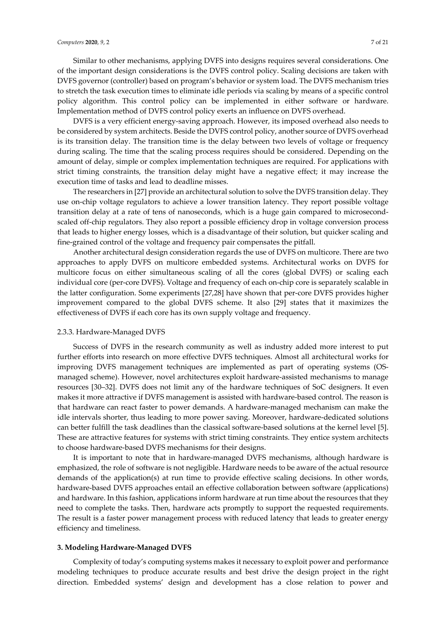Similar to other mechanisms, applying DVFS into designs requires several considerations. One of the important design considerations is the DVFS control policy. Scaling decisions are taken with DVFS governor (controller) based on program's behavior or system load. The DVFS mechanism tries to stretch the task execution times to eliminate idle periods via scaling by means of a specific control policy algorithm. This control policy can be implemented in either software or hardware. Implementation method of DVFS control policy exerts an influence on DVFS overhead.

DVFS is a very efficient energy-saving approach. However, its imposed overhead also needs to be considered by system architects. Beside the DVFS control policy, another source of DVFS overhead is its transition delay. The transition time is the delay between two levels of voltage or frequency during scaling. The time that the scaling process requires should be considered. Depending on the amount of delay, simple or complex implementation techniques are required. For applications with strict timing constraints, the transition delay might have a negative effect; it may increase the execution time of tasks and lead to deadline misses.

The researchers in [27] provide an architectural solution to solve the DVFS transition delay. They use on-chip voltage regulators to achieve a lower transition latency. They report possible voltage transition delay at a rate of tens of nanoseconds, which is a huge gain compared to microsecondscaled off-chip regulators. They also report a possible efficiency drop in voltage conversion process that leads to higher energy losses, which is a disadvantage of their solution, but quicker scaling and fine-grained control of the voltage and frequency pair compensates the pitfall.

Another architectural design consideration regards the use of DVFS on multicore. There are two approaches to apply DVFS on multicore embedded systems. Architectural works on DVFS for multicore focus on either simultaneous scaling of all the cores (global DVFS) or scaling each individual core (per-core DVFS). Voltage and frequency of each on-chip core is separately scalable in the latter configuration. Some experiments [27,28] have shown that per-core DVFS provides higher improvement compared to the global DVFS scheme. It also [29] states that it maximizes the effectiveness of DVFS if each core has its own supply voltage and frequency.

### 2.3.3. Hardware-Managed DVFS

Success of DVFS in the research community as well as industry added more interest to put further efforts into research on more effective DVFS techniques. Almost all architectural works for improving DVFS management techniques are implemented as part of operating systems (OSmanaged scheme). However, novel architectures exploit hardware-assisted mechanisms to manage resources [30–32]. DVFS does not limit any of the hardware techniques of SoC designers. It even makes it more attractive if DVFS management is assisted with hardware-based control. The reason is that hardware can react faster to power demands. A hardware-managed mechanism can make the idle intervals shorter, thus leading to more power saving. Moreover, hardware-dedicated solutions can better fulfill the task deadlines than the classical software-based solutions at the kernel level [5]. These are attractive features for systems with strict timing constraints. They entice system architects to choose hardware-based DVFS mechanisms for their designs.

It is important to note that in hardware-managed DVFS mechanisms, although hardware is emphasized, the role of software is not negligible. Hardware needs to be aware of the actual resource demands of the application(s) at run time to provide effective scaling decisions. In other words, hardware-based DVFS approaches entail an effective collaboration between software (applications) and hardware. In this fashion, applications inform hardware at run time about the resources that they need to complete the tasks. Then, hardware acts promptly to support the requested requirements. The result is a faster power management process with reduced latency that leads to greater energy efficiency and timeliness.

#### **3. Modeling Hardware-Managed DVFS**

Complexity of today's computing systems makes it necessary to exploit power and performance modeling techniques to produce accurate results and best drive the design project in the right direction. Embedded systems' design and development has a close relation to power and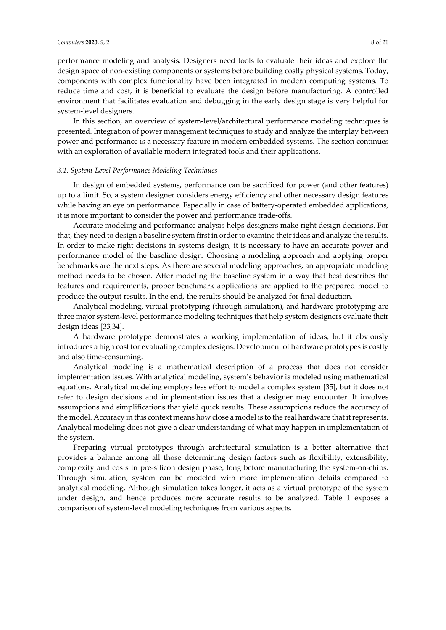performance modeling and analysis. Designers need tools to evaluate their ideas and explore the design space of non-existing components or systems before building costly physical systems. Today, components with complex functionality have been integrated in modern computing systems. To reduce time and cost, it is beneficial to evaluate the design before manufacturing. A controlled environment that facilitates evaluation and debugging in the early design stage is very helpful for system-level designers.

In this section, an overview of system-level/architectural performance modeling techniques is presented. Integration of power management techniques to study and analyze the interplay between power and performance is a necessary feature in modern embedded systems. The section continues with an exploration of available modern integrated tools and their applications.

# *3.1. System-Level Performance Modeling Techniques*

In design of embedded systems, performance can be sacrificed for power (and other features) up to a limit. So, a system designer considers energy efficiency and other necessary design features while having an eye on performance. Especially in case of battery-operated embedded applications, it is more important to consider the power and performance trade-offs.

Accurate modeling and performance analysis helps designers make right design decisions. For that, they need to design a baseline system first in order to examine their ideas and analyze the results. In order to make right decisions in systems design, it is necessary to have an accurate power and performance model of the baseline design. Choosing a modeling approach and applying proper benchmarks are the next steps. As there are several modeling approaches, an appropriate modeling method needs to be chosen. After modeling the baseline system in a way that best describes the features and requirements, proper benchmark applications are applied to the prepared model to produce the output results. In the end, the results should be analyzed for final deduction.

Analytical modeling, virtual prototyping (through simulation), and hardware prototyping are three major system-level performance modeling techniques that help system designers evaluate their design ideas [33,34].

A hardware prototype demonstrates a working implementation of ideas, but it obviously introduces a high cost for evaluating complex designs. Development of hardware prototypes is costly and also time-consuming.

Analytical modeling is a mathematical description of a process that does not consider implementation issues. With analytical modeling, system's behavior is modeled using mathematical equations. Analytical modeling employs less effort to model a complex system [35], but it does not refer to design decisions and implementation issues that a designer may encounter. It involves assumptions and simplifications that yield quick results. These assumptions reduce the accuracy of the model. Accuracy in this context means how close a model is to the real hardware that it represents. Analytical modeling does not give a clear understanding of what may happen in implementation of the system.

Preparing virtual prototypes through architectural simulation is a better alternative that provides a balance among all those determining design factors such as flexibility, extensibility, complexity and costs in pre-silicon design phase, long before manufacturing the system-on-chips. Through simulation, system can be modeled with more implementation details compared to analytical modeling. Although simulation takes longer, it acts as a virtual prototype of the system under design, and hence produces more accurate results to be analyzed. Table 1 exposes a comparison of system-level modeling techniques from various aspects.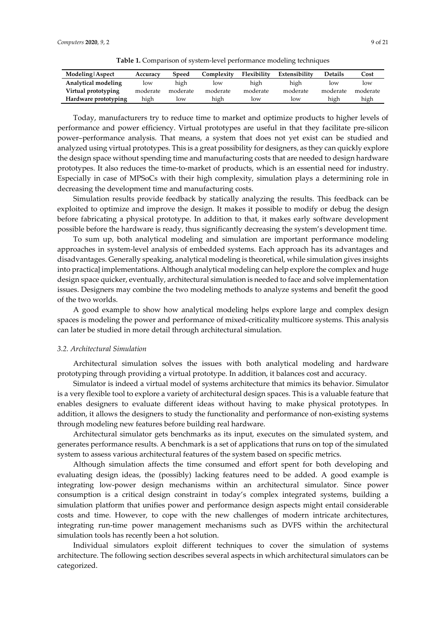**Table 1.** Comparison of system-level performance modeling techniques

| Modeling Aspect      | Accuracy | Speed    | Complexitv | Flexibility | Extensibility | <b>Details</b> | Cost     |
|----------------------|----------|----------|------------|-------------|---------------|----------------|----------|
| Analytical modeling  | low      | high     | low        | high        | high          | low            | low      |
| Virtual prototyping  | moderate | moderate | moderate   | moderate    | moderate      | moderate       | moderate |
| Hardware prototyping | high     | low      | high       | low         | low           | high           | high     |

Today, manufacturers try to reduce time to market and optimize products to higher levels of performance and power efficiency. Virtual prototypes are useful in that they facilitate pre-silicon power–performance analysis. That means, a system that does not yet exist can be studied and analyzed using virtual prototypes. This is a great possibility for designers, as they can quickly explore the design space without spending time and manufacturing costs that are needed to design hardware prototypes. It also reduces the time-to-market of products, which is an essential need for industry. Especially in case of MPSoCs with their high complexity, simulation plays a determining role in decreasing the development time and manufacturing costs.

Simulation results provide feedback by statically analyzing the results. This feedback can be exploited to optimize and improve the design. It makes it possible to modify or debug the design before fabricating a physical prototype. In addition to that, it makes early software development possible before the hardware is ready, thus significantly decreasing the system's development time.

To sum up, both analytical modeling and simulation are important performance modeling approaches in system-level analysis of embedded systems. Each approach has its advantages and disadvantages. Generally speaking, analytical modeling is theoretical, while simulation gives insights into practical implementations. Although analytical modeling can help explore the complex and huge design space quicker, eventually, architectural simulation is needed to face and solve implementation issues. Designers may combine the two modeling methods to analyze systems and benefit the good of the two worlds.

A good example to show how analytical modeling helps explore large and complex design spaces is modeling the power and performance of mixed-criticality multicore systems. This analysis can later be studied in more detail through architectural simulation.

# *3.2. Architectural Simulation*

Architectural simulation solves the issues with both analytical modeling and hardware prototyping through providing a virtual prototype. In addition, it balances cost and accuracy.

Simulator is indeed a virtual model of systems architecture that mimics its behavior. Simulator is a very flexible tool to explore a variety of architectural design spaces. This is a valuable feature that enables designers to evaluate different ideas without having to make physical prototypes. In addition, it allows the designers to study the functionality and performance of non-existing systems through modeling new features before building real hardware.

Architectural simulator gets benchmarks as its input, executes on the simulated system, and generates performance results. A benchmark is a set of applications that runs on top of the simulated system to assess various architectural features of the system based on specific metrics.

Although simulation affects the time consumed and effort spent for both developing and evaluating design ideas, the (possibly) lacking features need to be added. A good example is integrating low-power design mechanisms within an architectural simulator. Since power consumption is a critical design constraint in today's complex integrated systems, building a simulation platform that unifies power and performance design aspects might entail considerable costs and time. However, to cope with the new challenges of modern intricate architectures, integrating run-time power management mechanisms such as DVFS within the architectural simulation tools has recently been a hot solution.

Individual simulators exploit different techniques to cover the simulation of systems architecture. The following section describes several aspects in which architectural simulators can be categorized.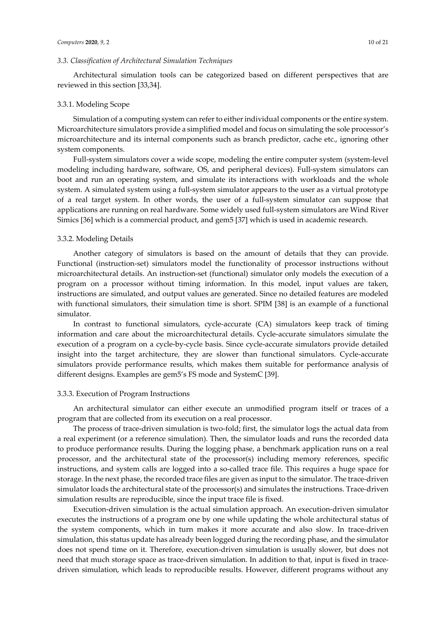# *3.3. Classification of Architectural Simulation Techniques*

Architectural simulation tools can be categorized based on different perspectives that are reviewed in this section [33,34].

# 3.3.1. Modeling Scope

Simulation of a computing system can refer to either individual components or the entire system. Microarchitecture simulators provide a simplified model and focus on simulating the sole processor's microarchitecture and its internal components such as branch predictor, cache etc., ignoring other system components.

Full-system simulators cover a wide scope, modeling the entire computer system (system-level modeling including hardware, software, OS, and peripheral devices). Full-system simulators can boot and run an operating system, and simulate its interactions with workloads and the whole system. A simulated system using a full-system simulator appears to the user as a virtual prototype of a real target system. In other words, the user of a full-system simulator can suppose that applications are running on real hardware. Some widely used full-system simulators are Wind River Simics [36] which is a commercial product, and gem5 [37] which is used in academic research.

#### 3.3.2. Modeling Details

Another category of simulators is based on the amount of details that they can provide. Functional (instruction-set) simulators model the functionality of processor instructions without microarchitectural details. An instruction-set (functional) simulator only models the execution of a program on a processor without timing information. In this model, input values are taken, instructions are simulated, and output values are generated. Since no detailed features are modeled with functional simulators, their simulation time is short. SPIM [38] is an example of a functional simulator.

In contrast to functional simulators, cycle-accurate (CA) simulators keep track of timing information and care about the microarchitectural details. Cycle-accurate simulators simulate the execution of a program on a cycle-by-cycle basis. Since cycle-accurate simulators provide detailed insight into the target architecture, they are slower than functional simulators. Cycle-accurate simulators provide performance results, which makes them suitable for performance analysis of different designs. Examples are gem5's FS mode and SystemC [39].

## 3.3.3. Execution of Program Instructions

An architectural simulator can either execute an unmodified program itself or traces of a program that are collected from its execution on a real processor.

The process of trace-driven simulation is two-fold; first, the simulator logs the actual data from a real experiment (or a reference simulation). Then, the simulator loads and runs the recorded data to produce performance results. During the logging phase, a benchmark application runs on a real processor, and the architectural state of the processor(s) including memory references, specific instructions, and system calls are logged into a so-called trace file. This requires a huge space for storage. In the next phase, the recorded trace files are given as input to the simulator. The trace-driven simulator loads the architectural state of the processor(s) and simulates the instructions. Trace-driven simulation results are reproducible, since the input trace file is fixed.

Execution-driven simulation is the actual simulation approach. An execution-driven simulator executes the instructions of a program one by one while updating the whole architectural status of the system components, which in turn makes it more accurate and also slow. In trace-driven simulation, this status update has already been logged during the recording phase, and the simulator does not spend time on it. Therefore, execution-driven simulation is usually slower, but does not need that much storage space as trace-driven simulation. In addition to that, input is fixed in tracedriven simulation, which leads to reproducible results. However, different programs without any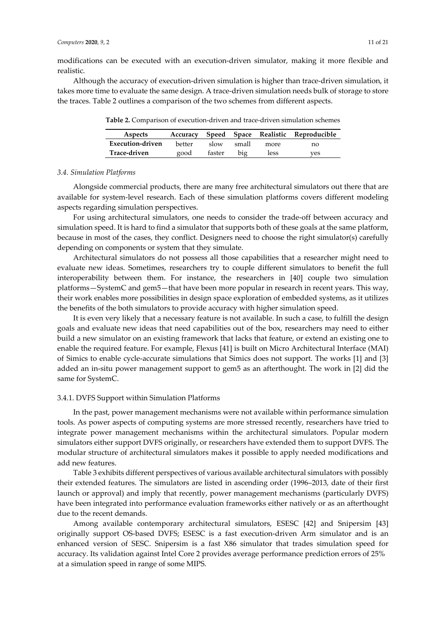modifications can be executed with an execution-driven simulator, making it more flexible and realistic.

Although the accuracy of execution-driven simulation is higher than trace-driven simulation, it takes more time to evaluate the same design. A trace-driven simulation needs bulk of storage to store the traces. Table 2 outlines a comparison of the two schemes from different aspects.

| Aspects          |        |        |       |      | Accuracy Speed Space Realistic Reproducible |
|------------------|--------|--------|-------|------|---------------------------------------------|
| Execution-driven | hetter | slow   | small | more | no                                          |
| Trace-driven     | good   | faster | big   | less | ves                                         |

**Table 2.** Comparison of execution-driven and trace-driven simulation schemes

## *3.4. Simulation Platforms*

Alongside commercial products, there are many free architectural simulators out there that are available for system-level research. Each of these simulation platforms covers different modeling aspects regarding simulation perspectives.

For using architectural simulators, one needs to consider the trade-off between accuracy and simulation speed. It is hard to find a simulator that supports both of these goals at the same platform, because in most of the cases, they conflict. Designers need to choose the right simulator(s) carefully depending on components or system that they simulate.

Architectural simulators do not possess all those capabilities that a researcher might need to evaluate new ideas. Sometimes, researchers try to couple different simulators to benefit the full interoperability between them. For instance, the researchers in [40] couple two simulation platforms—SystemC and gem5—that have been more popular in research in recent years. This way, their work enables more possibilities in design space exploration of embedded systems, as it utilizes the benefits of the both simulators to provide accuracy with higher simulation speed.

It is even very likely that a necessary feature is not available. In such a case, to fulfill the design goals and evaluate new ideas that need capabilities out of the box, researchers may need to either build a new simulator on an existing framework that lacks that feature, or extend an existing one to enable the required feature. For example, Flexus [41] is built on Micro Architectural Interface (MAI) of Simics to enable cycle-accurate simulations that Simics does not support. The works [1] and [3] added an in-situ power management support to gem5 as an afterthought. The work in [2] did the same for SystemC.

# 3.4.1. DVFS Support within Simulation Platforms

In the past, power management mechanisms were not available within performance simulation tools. As power aspects of computing systems are more stressed recently, researchers have tried to integrate power management mechanisms within the architectural simulators. Popular modern simulators either support DVFS originally, or researchers have extended them to support DVFS. The modular structure of architectural simulators makes it possible to apply needed modifications and add new features.

Table 3 exhibits different perspectives of various available architectural simulators with possibly their extended features. The simulators are listed in ascending order (1996–2013, date of their first launch or approval) and imply that recently, power management mechanisms (particularly DVFS) have been integrated into performance evaluation frameworks either natively or as an afterthought due to the recent demands.

Among available contemporary architectural simulators, ESESC [42] and Snipersim [43] originally support OS-based DVFS; ESESC is a fast execution-driven Arm simulator and is an enhanced version of SESC. Snipersim is a fast X86 simulator that trades simulation speed for accuracy. Its validation against Intel Core 2 provides average performance prediction errors of 25% at a simulation speed in range of some MIPS.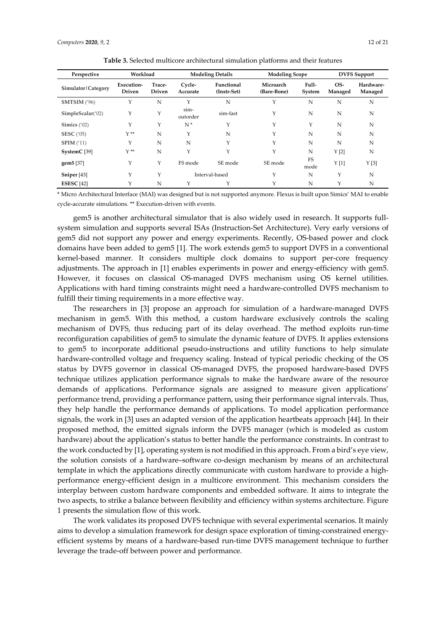| Perspective             | Workload                    |                         | <b>Modeling Details</b> |                           | <b>Modeling Scope</b>    |                 | <b>DVFS</b> Support |                      |
|-------------------------|-----------------------------|-------------------------|-------------------------|---------------------------|--------------------------|-----------------|---------------------|----------------------|
| Simulator   Category    | Execution-<br><b>Driven</b> | Trace-<br><b>Driven</b> | Cycle-<br>Accurate      | Functional<br>(Instr-Set) | Microarch<br>(Bare-Bone) | Full-<br>System | OS-<br>Managed      | Hardware-<br>Managed |
| SMTSIM ('96)            | Υ                           | N                       | Y                       | N                         | Υ                        | N               | N                   | N                    |
| SimpleScalar('02)       | Y                           | Y                       | sim-<br>outorder        | sim-fast                  | Y                        | N               | N                   | N                    |
| Simics $('02)$          | Υ                           | Y                       | $N^*$                   | $\mathbf{Y}$              | Y                        | Υ               | N                   | N                    |
| <b>SESC</b> ('05)       | $Y^*$                       | N                       | Y                       | N                         | Υ                        | N               | N                   | N                    |
| SPIM(11)                | Υ                           | N                       | N                       | Y                         | Υ                        | N               | N                   | N                    |
| SystemC <sup>[39]</sup> | $Y^*$                       | N                       | Y                       | Y                         | Υ                        | N               | Y[2]                | N                    |
| gem5 [37]               | Υ                           | Y                       | FS mode                 | SE mode                   | SE mode                  | FS<br>mode      | Y[1]                | Y[3]                 |
| Sniper [43]             | Υ                           | Y                       |                         | Interval-based            | Υ                        | N               | Y                   | N                    |
| <b>ESESC</b> [42]       | Υ                           | N                       | Υ                       | Y                         | Υ                        | N               | Y                   | N                    |

**Table 3.** Selected multicore architectural simulation platforms and their features

\* Micro Architectural Interface (MAI) was designed but is not supported anymore. Flexus is built upon Simics' MAI to enable cycle-accurate simulations. \*\* Execution-driven with events.

gem5 is another architectural simulator that is also widely used in research. It supports fullsystem simulation and supports several ISAs (Instruction-Set Architecture). Very early versions of gem5 did not support any power and energy experiments. Recently, OS-based power and clock domains have been added to gem5 [1]. The work extends gem5 to support DVFS in a conventional kernel-based manner. It considers multiple clock domains to support per-core frequency adjustments. The approach in [1] enables experiments in power and energy-efficiency with gem5. However, it focuses on classical OS-managed DVFS mechanism using OS kernel utilities. Applications with hard timing constraints might need a hardware-controlled DVFS mechanism to fulfill their timing requirements in a more effective way.

The researchers in [3] propose an approach for simulation of a hardware-managed DVFS mechanism in gem5. With this method, a custom hardware exclusively controls the scaling mechanism of DVFS, thus reducing part of its delay overhead. The method exploits run-time reconfiguration capabilities of gem5 to simulate the dynamic feature of DVFS. It applies extensions to gem5 to incorporate additional pseudo-instructions and utility functions to help simulate hardware-controlled voltage and frequency scaling. Instead of typical periodic checking of the OS status by DVFS governor in classical OS-managed DVFS, the proposed hardware-based DVFS technique utilizes application performance signals to make the hardware aware of the resource demands of applications. Performance signals are assigned to measure given applications' performance trend, providing a performance pattern, using their performance signal intervals. Thus, they help handle the performance demands of applications. To model application performance signals, the work in [3] uses an adapted version of the application heartbeats approach [44]. In their proposed method, the emitted signals inform the DVFS manager (which is modeled as custom hardware) about the application's status to better handle the performance constraints. In contrast to the work conducted by [1], operating system is not modified in this approach. From a bird's eye view, the solution consists of a hardware–software co-design mechanism by means of an architectural template in which the applications directly communicate with custom hardware to provide a highperformance energy-efficient design in a multicore environment. This mechanism considers the interplay between custom hardware components and embedded software. It aims to integrate the two aspects, to strike a balance between flexibility and efficiency within systems architecture. Figure 1 presents the simulation flow of this work.

The work validates its proposed DVFS technique with several experimental scenarios. It mainly aims to develop a simulation framework for design space exploration of timing-constrained energyefficient systems by means of a hardware-based run-time DVFS management technique to further leverage the trade-off between power and performance.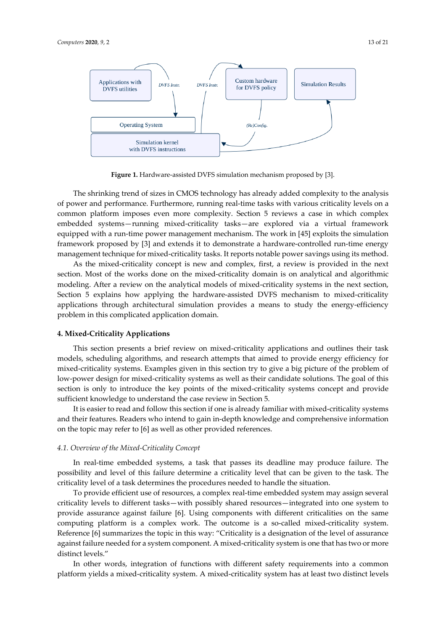

**Figure 1.** Hardware-assisted DVFS simulation mechanism proposed by [3].

The shrinking trend of sizes in CMOS technology has already added complexity to the analysis of power and performance. Furthermore, running real-time tasks with various criticality levels on a common platform imposes even more complexity. Section 5 reviews a case in which complex embedded systems—running mixed-criticality tasks—are explored via a virtual framework equipped with a run-time power management mechanism. The work in [45] exploits the simulation framework proposed by [3] and extends it to demonstrate a hardware-controlled run-time energy management technique for mixed-criticality tasks. It reports notable power savings using its method.

As the mixed-criticality concept is new and complex, first, a review is provided in the next section. Most of the works done on the mixed-criticality domain is on analytical and algorithmic modeling. After a review on the analytical models of mixed-criticality systems in the next section, Section 5 explains how applying the hardware-assisted DVFS mechanism to mixed-criticality applications through architectural simulation provides a means to study the energy-efficiency problem in this complicated application domain.

## **4. Mixed-Criticality Applications**

This section presents a brief review on mixed-criticality applications and outlines their task models, scheduling algorithms, and research attempts that aimed to provide energy efficiency for mixed-criticality systems. Examples given in this section try to give a big picture of the problem of low-power design for mixed-criticality systems as well as their candidate solutions. The goal of this section is only to introduce the key points of the mixed-criticality systems concept and provide sufficient knowledge to understand the case review in Section 5.

It is easier to read and follow this section if one is already familiar with mixed-criticality systems and their features. Readers who intend to gain in-depth knowledge and comprehensive information on the topic may refer to [6] as well as other provided references.

# *4.1. Overview of the Mixed-Criticality Concept*

In real-time embedded systems, a task that passes its deadline may produce failure. The possibility and level of this failure determine a criticality level that can be given to the task. The criticality level of a task determines the procedures needed to handle the situation.

To provide efficient use of resources, a complex real-time embedded system may assign several criticality levels to different tasks—with possibly shared resources—integrated into one system to provide assurance against failure [6]. Using components with different criticalities on the same computing platform is a complex work. The outcome is a so-called mixed-criticality system. Reference [6] summarizes the topic in this way: "Criticality is a designation of the level of assurance against failure needed for a system component. A mixed-criticality system is one that has two or more distinct levels."

In other words, integration of functions with different safety requirements into a common platform yields a mixed-criticality system. A mixed-criticality system has at least two distinct levels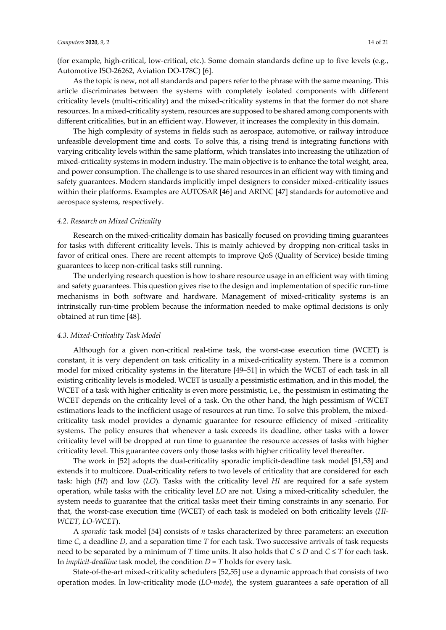(for example, high-critical, low-critical, etc.). Some domain standards define up to five levels (e.g., Automotive ISO-26262, Aviation DO-178C) [6].

As the topic is new, not all standards and papers refer to the phrase with the same meaning. This article discriminates between the systems with completely isolated components with different criticality levels (multi-criticality) and the mixed-criticality systems in that the former do not share resources. In a mixed-criticality system, resources are supposed to be shared among components with different criticalities, but in an efficient way. However, it increases the complexity in this domain.

The high complexity of systems in fields such as aerospace, automotive, or railway introduce unfeasible development time and costs. To solve this, a rising trend is integrating functions with varying criticality levels within the same platform, which translates into increasing the utilization of mixed-criticality systems in modern industry. The main objective is to enhance the total weight, area, and power consumption. The challenge is to use shared resources in an efficient way with timing and safety guarantees. Modern standards implicitly impel designers to consider mixed-criticality issues within their platforms. Examples are AUTOSAR [46] and ARINC [47] standards for automotive and aerospace systems, respectively.

## *4.2. Research on Mixed Criticality*

Research on the mixed-criticality domain has basically focused on providing timing guarantees for tasks with different criticality levels. This is mainly achieved by dropping non-critical tasks in favor of critical ones. There are recent attempts to improve QoS (Quality of Service) beside timing guarantees to keep non-critical tasks still running.

The underlying research question is how to share resource usage in an efficient way with timing and safety guarantees. This question gives rise to the design and implementation of specific run-time mechanisms in both software and hardware. Management of mixed-criticality systems is an intrinsically run-time problem because the information needed to make optimal decisions is only obtained at run time [48].

#### *4.3. Mixed-Criticality Task Model*

Although for a given non-critical real-time task, the worst-case execution time (WCET) is constant, it is very dependent on task criticality in a mixed-criticality system. There is a common model for mixed criticality systems in the literature [49–51] in which the WCET of each task in all existing criticality levels is modeled. WCET is usually a pessimistic estimation, and in this model, the WCET of a task with higher criticality is even more pessimistic, i.e., the pessimism in estimating the WCET depends on the criticality level of a task. On the other hand, the high pessimism of WCET estimations leads to the inefficient usage of resources at run time. To solve this problem, the mixedcriticality task model provides a dynamic guarantee for resource efficiency of mixed -criticality systems. The policy ensures that whenever a task exceeds its deadline, other tasks with a lower criticality level will be dropped at run time to guarantee the resource accesses of tasks with higher criticality level. This guarantee covers only those tasks with higher criticality level thereafter.

The work in [52] adopts the dual-criticality sporadic implicit-deadline task model [51,53] and extends it to multicore. Dual-criticality refers to two levels of criticality that are considered for each task: high (*HI*) and low (*LO*). Tasks with the criticality level *HI* are required for a safe system operation, while tasks with the criticality level *LO* are not. Using a mixed-criticality scheduler, the system needs to guarantee that the critical tasks meet their timing constraints in any scenario. For that, the worst-case execution time (WCET) of each task is modeled on both criticality levels (*HI-WCET*, *LO-WCET*).

A *sporadic* task model [54] consists of *n* tasks characterized by three parameters: an execution time *C*, a deadline *D*, and a separation time *T* for each task. Two successive arrivals of task requests need to be separated by a minimum of *T* time units. It also holds that  $C \le D$  and  $C \le T$  for each task. In *implicit-deadline* task model, the condition  $D = T$  holds for every task.

State-of-the-art mixed-criticality schedulers [52,55] use a dynamic approach that consists of two operation modes. In low-criticality mode (*LO-mode*), the system guarantees a safe operation of all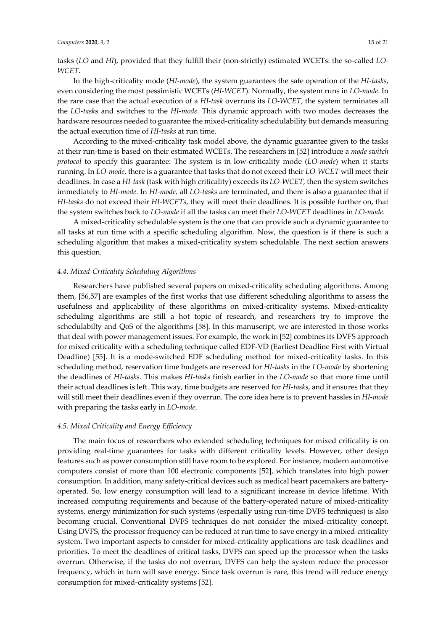tasks (*LO* and *HI*), provided that they fulfill their (non-strictly) estimated WCETs: the so-called *LO-WCET*.

In the high-criticality mode (*HI-mode*), the system guarantees the safe operation of the *HI-tasks*, even considering the most pessimistic WCETs (*HI-WCET*). Normally, the system runs in *LO-mode*. In the rare case that the actual execution of a *HI-task* overruns its *LO-WCET*, the system terminates all the *LO-task*s and switches to the *HI-mode*. This dynamic approach with two modes decreases the hardware resources needed to guarantee the mixed-criticality schedulability but demands measuring the actual execution time of *HI-tasks* at run time.

According to the mixed-criticality task model above, the dynamic guarantee given to the tasks at their run-time is based on their estimated WCETs. The researchers in [52] introduce a *mode switch protocol* to specify this guarantee: The system is in low-criticality mode (*LO-mode*) when it starts running. In *LO-mode*, there is a guarantee that tasks that do not exceed their *LO-WCET* will meet their deadlines. In case a *HI-task* (task with high criticality) exceeds its *LO-WCET,* then the system switches immediately to *HI-mode.* In *HI-mode,* all *LO-tasks* are terminated, and there is also a guarantee that if *HI-tasks* do not exceed their *HI-WCETs*, they will meet their deadlines. It is possible further on, that the system switches back to *LO-mode* if all the tasks can meet their *LO-WCET* deadlines in *LO-mode*.

A mixed-criticality schedulable system is the one that can provide such a dynamic guarantee to all tasks at run time with a specific scheduling algorithm. Now, the question is if there is such a scheduling algorithm that makes a mixed-criticality system schedulable. The next section answers this question.

# *4.4. Mixed-Criticality Scheduling Algorithms*

Researchers have published several papers on mixed-criticality scheduling algorithms. Among them, [56,57] are examples of the first works that use different scheduling algorithms to assess the usefulness and applicability of these algorithms on mixed-criticality systems. Mixed-criticality scheduling algorithms are still a hot topic of research, and researchers try to improve the schedulabilty and QoS of the algorithms [58]. In this manuscript, we are interested in those works that deal with power management issues. For example, the work in [52] combines its DVFS approach for mixed criticality with a scheduling technique called EDF-VD (Earliest Deadline First with Virtual Deadline) [55]. It is a mode-switched EDF scheduling method for mixed-criticality tasks. In this scheduling method, reservation time budgets are reserved for *HI-tasks* in the *LO-mode* by shortening the deadlines of *HI-tasks*. This makes *HI-tasks* finish earlier in the *LO-mode* so that more time until their actual deadlines is left. This way, time budgets are reserved for *HI-tasks*, and it ensures that they will still meet their deadlines even if they overrun. The core idea here is to prevent hassles in *HI-mode* with preparing the tasks early in *LO-mode*.

# *4.5. Mixed Criticality and Energy Efficiency*

The main focus of researchers who extended scheduling techniques for mixed criticality is on providing real-time guarantees for tasks with different criticality levels. However, other design features such as power consumption still have room to be explored. For instance, modern automotive computers consist of more than 100 electronic components [52], which translates into high power consumption. In addition, many safety-critical devices such as medical heart pacemakers are batteryoperated. So, low energy consumption will lead to a significant increase in device lifetime. With increased computing requirements and because of the battery-operated nature of mixed-criticality systems, energy minimization for such systems (especially using run-time DVFS techniques) is also becoming crucial. Conventional DVFS techniques do not consider the mixed-criticality concept. Using DVFS, the processor frequency can be reduced at run time to save energy in a mixed-criticality system. Two important aspects to consider for mixed-criticality applications are task deadlines and priorities. To meet the deadlines of critical tasks, DVFS can speed up the processor when the tasks overrun. Otherwise, if the tasks do not overrun, DVFS can help the system reduce the processor frequency, which in turn will save energy. Since task overrun is rare, this trend will reduce energy consumption for mixed-criticality systems [52].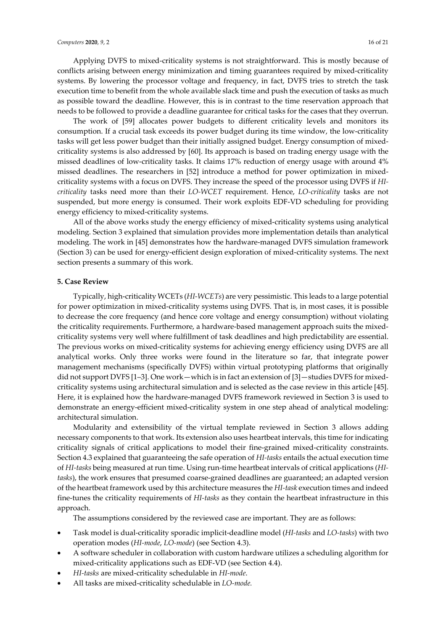Applying DVFS to mixed-criticality systems is not straightforward. This is mostly because of conflicts arising between energy minimization and timing guarantees required by mixed-criticality systems. By lowering the processor voltage and frequency, in fact, DVFS tries to stretch the task execution time to benefit from the whole available slack time and push the execution of tasks as much as possible toward the deadline. However, this is in contrast to the time reservation approach that needs to be followed to provide a deadline guarantee for critical tasks for the cases that they overrun.

The work of [59] allocates power budgets to different criticality levels and monitors its consumption. If a crucial task exceeds its power budget during its time window, the low-criticality tasks will get less power budget than their initially assigned budget. Energy consumption of mixedcriticality systems is also addressed by [60]. Its approach is based on trading energy usage with the missed deadlines of low-criticality tasks. It claims 17% reduction of energy usage with around 4% missed deadlines. The researchers in [52] introduce a method for power optimization in mixedcriticality systems with a focus on DVFS. They increase the speed of the processor using DVFS if *HIcriticality* tasks need more than their *LO-WCET* requirement. Hence, *LO-criticality* tasks are not suspended, but more energy is consumed. Their work exploits EDF-VD scheduling for providing energy efficiency to mixed-criticality systems.

All of the above works study the energy efficiency of mixed-criticality systems using analytical modeling. Section 3 explained that simulation provides more implementation details than analytical modeling. The work in [45] demonstrates how the hardware-managed DVFS simulation framework (Section 3) can be used for energy-efficient design exploration of mixed-criticality systems. The next section presents a summary of this work.

# **5. Case Review**

Typically, high-criticality WCETs (*HI-WCETs*) are very pessimistic. This leads to a large potential for power optimization in mixed-criticality systems using DVFS. That is, in most cases, it is possible to decrease the core frequency (and hence core voltage and energy consumption) without violating the criticality requirements. Furthermore, a hardware-based management approach suits the mixedcriticality systems very well where fulfillment of task deadlines and high predictability are essential. The previous works on mixed-criticality systems for achieving energy efficiency using DVFS are all analytical works. Only three works were found in the literature so far, that integrate power management mechanisms (specifically DVFS) within virtual prototyping platforms that originally did not support DVFS [1–3]. One work—which is in fact an extension of [3]—studies DVFS for mixedcriticality systems using architectural simulation and is selected as the case review in this article [45]. Here, it is explained how the hardware-managed DVFS framework reviewed in Section 3 is used to demonstrate an energy-efficient mixed-criticality system in one step ahead of analytical modeling: architectural simulation.

Modularity and extensibility of the virtual template reviewed in Section 3 allows adding necessary components to that work. Its extension also uses heartbeat intervals, this time for indicating criticality signals of critical applications to model their fine-grained mixed-criticality constraints. Section 4.3 explained that guaranteeing the safe operation of *HI-tasks* entails the actual execution time of *HI-tasks* being measured at run time. Using run-time heartbeat intervals of critical applications (*HItasks*), the work ensures that presumed coarse-grained deadlines are guaranteed; an adapted version of the heartbeat framework used by this architecture measures the *HI-task* execution times and indeed fine-tunes the criticality requirements of *HI-tasks* as they contain the heartbeat infrastructure in this approach.

The assumptions considered by the reviewed case are important. They are as follows:

- Task model is dual-criticality sporadic implicit-deadline model (*HI-tasks* and *LO-tasks*) with two operation modes (*HI-mode*, *LO-mode*) (see Section 4.3).
- A software scheduler in collaboration with custom hardware utilizes a scheduling algorithm for mixed-criticality applications such as EDF-VD (see Section 4.4).
- *HI-tasks* are mixed-criticality schedulable in *HI-mode*.
- All tasks are mixed-criticality schedulable in *LO-mode.*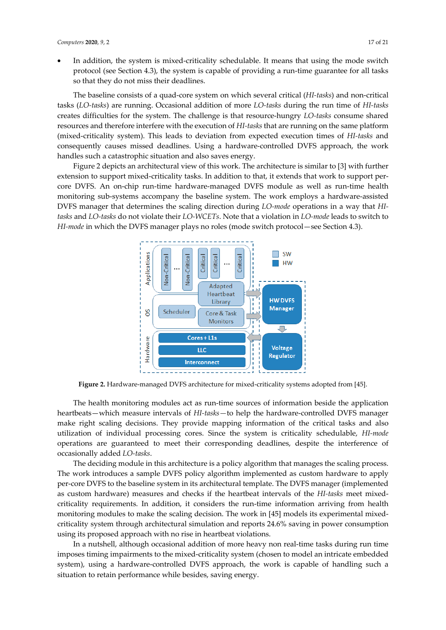In addition, the system is mixed-criticality schedulable. It means that using the mode switch protocol (see Section 4.3), the system is capable of providing a run-time guarantee for all tasks so that they do not miss their deadlines.

The baseline consists of a quad-core system on which several critical (*HI-tasks*) and non-critical tasks (*LO-tasks*) are running. Occasional addition of more *LO-tasks* during the run time of *HI-tasks*  creates difficulties for the system. The challenge is that resource-hungry *LO-tasks* consume shared resources and therefore interfere with the execution of *HI-tasks* that are running on the same platform (mixed-criticality system). This leads to deviation from expected execution times of *HI-tasks* and consequently causes missed deadlines. Using a hardware-controlled DVFS approach, the work handles such a catastrophic situation and also saves energy.

Figure 2 depicts an architectural view of this work. The architecture is similar to [3] with further extension to support mixed-criticality tasks. In addition to that, it extends that work to support percore DVFS. An on-chip run-time hardware-managed DVFS module as well as run-time health monitoring sub-systems accompany the baseline system. The work employs a hardware-assisted DVFS manager that determines the scaling direction during *LO-mode* operations in a way that *HItasks* and *LO-tasks* do not violate their *LO-WCETs*. Note that a violation in *LO-mode* leads to switch to *HI-mode* in which the DVFS manager plays no roles (mode switch protocol - see Section 4.3).



**Figure 2.** Hardware-managed DVFS architecture for mixed-criticality systems adopted from [45].

The health monitoring modules act as run-time sources of information beside the application heartbeats—which measure intervals of *HI-tasks—*to help the hardware-controlled DVFS manager make right scaling decisions. They provide mapping information of the critical tasks and also utilization of individual processing cores. Since the system is criticality schedulable, *HI-mode* operations are guaranteed to meet their corresponding deadlines, despite the interference of occasionally added *LO-tasks*.

The deciding module in this architecture is a policy algorithm that manages the scaling process. The work introduces a sample DVFS policy algorithm implemented as custom hardware to apply per-core DVFS to the baseline system in its architectural template. The DVFS manager (implemented as custom hardware) measures and checks if the heartbeat intervals of the *HI-tasks* meet mixedcriticality requirements. In addition, it considers the run-time information arriving from health monitoring modules to make the scaling decision. The work in [45] models its experimental mixedcriticality system through architectural simulation and reports 24.6% saving in power consumption using its proposed approach with no rise in heartbeat violations.

In a nutshell, although occasional addition of more heavy non real-time tasks during run time imposes timing impairments to the mixed-criticality system (chosen to model an intricate embedded system), using a hardware-controlled DVFS approach, the work is capable of handling such a situation to retain performance while besides, saving energy.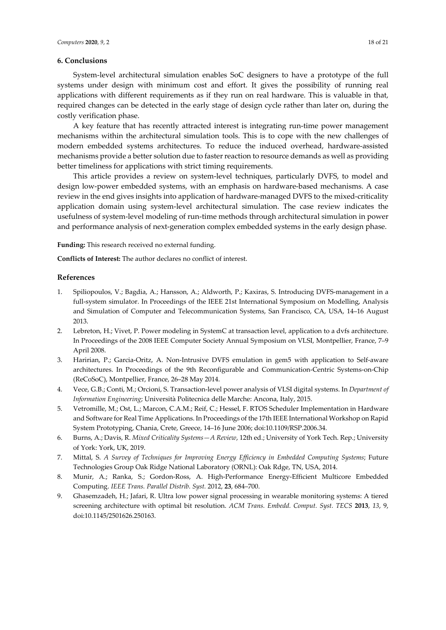# **6. Conclusions**

costly verification phase.

A key feature that has recently attracted interest is integrating run-time power management mechanisms within the architectural simulation tools. This is to cope with the new challenges of modern embedded systems architectures. To reduce the induced overhead, hardware-assisted mechanisms provide a better solution due to faster reaction to resource demands as well as providing better timeliness for applications with strict timing requirements.

This article provides a review on system-level techniques, particularly DVFS, to model and design low-power embedded systems, with an emphasis on hardware-based mechanisms. A case review in the end gives insights into application of hardware-managed DVFS to the mixed-criticality application domain using system-level architectural simulation. The case review indicates the usefulness of system-level modeling of run-time methods through architectural simulation in power and performance analysis of next-generation complex embedded systems in the early design phase.

**Funding:** This research received no external funding.

**Conflicts of Interest:** The author declares no conflict of interest.

# **References**

- 1. Spiliopoulos, V.; Bagdia, A.; Hansson, A.; Aldworth, P.; Kaxiras, S. Introducing DVFS-management in a full-system simulator. In Proceedings of the IEEE 21st International Symposium on Modelling, Analysis and Simulation of Computer and Telecommunication Systems, San Francisco, CA, USA, 14–16 August 2013.
- 2. Lebreton, H.; Vivet, P. Power modeling in SystemC at transaction level, application to a dvfs architecture. In Proceedings of the 2008 IEEE Computer Society Annual Symposium on VLSI, Montpellier, France, 7–9 April 2008.
- 3. Haririan, P.; Garcia-Oritz, A. Non-Intrusive DVFS emulation in gem5 with application to Self-aware architectures. In Proceedings of the 9th Reconfigurable and Communication-Centric Systems-on-Chip (ReCoSoC), Montpellier, France, 26–28 May 2014.
- 4. Vece, G.B.; Conti, M.; Orcioni, S. Transaction-level power analysis of VLSI digital systems. In *Department of Information Engineering*; Università Politecnica delle Marche: Ancona, Italy, 2015.
- 5. Vetromille, M.; Ost, L.; Marcon, C.A.M.; Reif, C.; Hessel, F. RTOS Scheduler Implementation in Hardware and Software for Real Time Applications. In Proceedings of the 17th IEEE International Workshop on Rapid System Prototyping, Chania, Crete, Greece, 14–16 June 2006; doi:10.1109/RSP.2006.34.
- 6. Burns, A.; Davis, R. *Mixed Criticality Systems—A Review*, 12th ed.; University of York Tech. Rep.; University of York: York, UK, 2019.
- 7. Mittal, S. *A Survey of Techniques for Improving Energy Efficiency in Embedded Computing Systems*; Future Technologies Group Oak Ridge National Laboratory (ORNL): Oak Rdge, TN, USA, 2014.
- 8. Munir, A.; Ranka, S.; Gordon-Ross, A. High-Performance Energy-Efficient Multicore Embedded Computing. *IEEE Trans. Parallel Distrib. Syst.* 2012, **23**, 684–700.
- 9. Ghasemzadeh, H.; Jafari, R. Ultra low power signal processing in wearable monitoring systems: A tiered screening architecture with optimal bit resolution. *ACM Trans. Embedd. Comput. Syst. TECS* **2013**, *13*, 9, doi:10.1145/2501626.250163.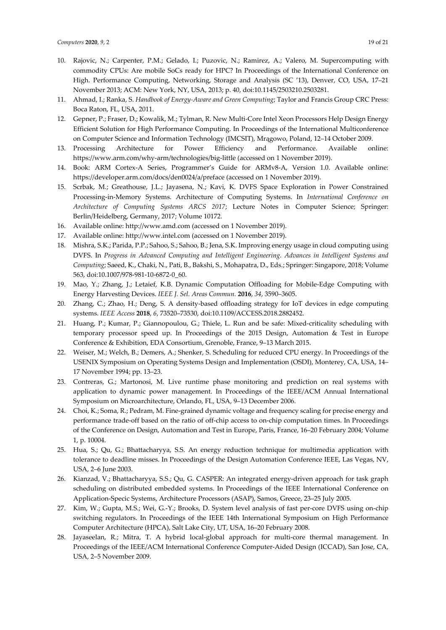- November 2013; ACM: New York, NY, USA, 2013; p. 40, doi:10.1145/2503210.2503281. 11. Ahmad, I.; Ranka, S. *Handbook of Energy-Aware and Green Computing*; Taylor and Francis Group CRC Press: Boca Raton, FL, USA, 2011.
- 12. Gepner, P.; Fraser, D.; Kowalik, M.; Tylman, R. New Multi-Core Intel Xeon Processors Help Design Energy Efficient Solution for High Performance Computing. In Proceedings of the International Multiconference on Computer Science and Information Technology (IMCSIT), Mrągowo, Poland, 12–14 October 2009.
- 13. Processing Architecture for Power Efficiency and Performance. Available online: https://www.arm.com/why-arm/technologies/big-little (accessed on 1 November 2019).
- 14. Book: ARM Cortex-A Series, Programmer's Guide for ARMv8-A, Version 1.0. Available online: https://developer.arm.com/docs/den0024/a/preface (accessed on 1 November 2019).
- 15. Scrbak, M.; Greathouse, J.L.; Jayasena, N.; Kavi, K. DVFS Space Exploration in Power Constrained Processing-in-Memory Systems. Architecture of Computing Systems. In *International Conference on Architecture of Computing Systems ARCS 2017*; Lecture Notes in Computer Science; Springer: Berlin/Heidelberg, Germany, 2017; Volume 10172.
- 16. Available online: http://www.amd.com (accessed on 1 November 2019).
- 17. Available online: http://www.intel.com (accessed on 1 November 2019).
- 18. Mishra, S.K.; Parida, P.P.; Sahoo, S.; Sahoo, B.; Jena, S.K. Improving energy usage in cloud computing using DVFS. In *Progress in Advanced Computing and Intelligent Engineering. Advances in Intelligent Systems and Computing*; Saeed, K., Chaki, N., Pati, B., Bakshi, S., Mohapatra, D., Eds.; Springer: Singapore, 2018; Volume 563, doi:10.1007/978-981-10-6872-0\_60.
- 19. Mao, Y.; Zhang, J.; Letaief, K.B. Dynamic Computation Offloading for Mobile-Edge Computing with Energy Harvesting Devices. *IEEE J. Sel. Areas Commun.* **2016**, *34*, 3590–3605.
- 20. Zhang, C.; Zhao, H.; Deng, S. A density-based offloading strategy for IoT devices in edge computing systems. *IEEE Access* **2018**, *6*, 73520–73530, doi:10.1109/ACCESS.2018.2882452.
- 21. Huang, P.; Kumar, P.; Giannopoulou, G.; Thiele, L. Run and be safe: Mixed-criticality scheduling with temporary processor speed up. In Proceedings of the 2015 Design, Automation & Test in Europe Conference & Exhibition, EDA Consortium, Grenoble, France, 9–13 March 2015.
- 22. Weiser, M.; Welch, B.; Demers, A.; Shenker, S. Scheduling for reduced CPU energy. In Proceedings of the USENIX Symposium on Operating Systems Design and Implementation (OSDI), Monterey, CA, USA, 14– 17 November 1994; pp. 13–23.
- 23. Contreras, G.; Martonosi, M. Live runtime phase monitoring and prediction on real systems with application to dynamic power management. In Proceedings of the IEEE/ACM Annual International Symposium on Microarchitecture, Orlando, FL, USA, 9–13 December 2006.
- 24. Choi, K.; Soma, R.; Pedram, M. Fine-grained dynamic voltage and frequency scaling for precise energy and performance trade-off based on the ratio of off-chip access to on-chip computation times. In Proceedings of the Conference on Design, Automation and Test in Europe, Paris, France, 16–20 February 2004; Volume 1, p. 10004.
- 25. Hua, S.; Qu, G.; Bhattacharyya, S.S. An energy reduction technique for multimedia application with tolerance to deadline misses. In Proceedings of the Design Automation Conference IEEE, Las Vegas, NV, USA, 2–6 June 2003.
- 26. Kianzad, V.; Bhattacharyya, S.S.; Qu, G. CASPER: An integrated energy-driven approach for task graph scheduling on distributed embedded systems. In Proceedings of the IEEE International Conference on Application-Specic Systems, Architecture Processors (ASAP), Samos, Greece, 23–25 July 2005.
- 27. Kim, W.; Gupta, M.S.; Wei, G.-Y.; Brooks, D. System level analysis of fast per-core DVFS using on-chip switching regulators. In Proceedings of the IEEE 14th International Symposium on High Performance Computer Architecture (HPCA), Salt Lake City, UT, USA, 16–20 February 2008.
- 28. Jayaseelan, R.; Mitra, T. A hybrid local-global approach for multi-core thermal management. In Proceedings of the IEEE/ACM International Conference Computer-Aided Design (ICCAD), San Jose, CA, USA, 2–5 November 2009.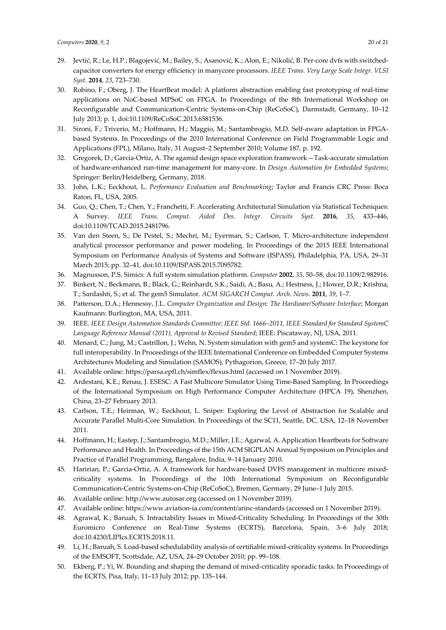- 29. Jevtić, R.; Le, H.P.; Blagojević, M.; Bailey, S.; Asanović, K.; Alon, E.; Nikolić, B. Per-core dvfs with switchedcapacitor converters for energy efficiency in manycore processors. *IEEE Trans. Very Large Scale Integr. VLSI Syst.* **2014**, *23*, 723–730.
- 30. Robino, F.; Oberg, J. The HeartBeat model: A platform abstraction enabling fast prototyping of real-time applications on NoC-based MPSoC on FPGA. In Proceedings of the 8th International Workshop on Reconfigurable and Communication-Centric Systems-on-Chip (ReCoSoC), Darmstadt, Germany, 10–12 July 2013; p. 1, doi:10.1109/ReCoSoC.2013.6581536.
- 31. Sironi, F.; Triverio, M.; Hoffmann, H.; Maggio, M.; Santambrogio, M.D. Self-aware adaptation in FPGAbased Systems. In Proceedings of the 2010 International Conference on Field Programmable Logic and Applications (FPL), Milano, Italy, 31 August–2 September 2010; Volume 187, p. 192.
- 32. Gregorek, D.; Garcia-Ortiz, A. The agamid design space exploration framework—Task-accurate simulation of hardware-enhanced run-time management for many-core. In *Design Automation for Embedded Systems*; Springer: Berlin/Heidelberg, Germany, 2018.
- 33. John, L.K.; Eeckhout, L. *Performance Evaluation and Benchmarking*; Taylor and Francis CRC Press: Boca Raton, FL, USA, 2005.
- 34. Guo, Q.; Chen, T.; Chen, Y.; Franchetti, F. Accelerating Architectural Simulation via Statistical Techniques: A Survey. *IEEE Trans. Comput. Aided Des. Integr. Circuits Syst.* **2016**, *35*, 433–446, doi:10.1109/TCAD.2015.2481796.
- 35. Van den Steen, S.; De Pestel, S.; Mechri, M.; Eyerman, S.; Carlson, T. Micro-architecture independent analytical processor performance and power modeling. In Proceedings of the 2015 IEEE International Symposium on Performance Analysis of Systems and Software (ISPASS), Philadelphia, PA, USA, 29–31 March 2015; pp. 32–41, doi:10.1109/ISPASS.2015.7095782.
- 36. Magnusson, P.S. Simics: A full system simulation platform. *Computer* **2002**, *35*, 50–58, doi:10.1109/2.982916.
- 37. Binkert, N.; Beckmann, B.; Black, G.; Reinhardt, S.K.; Saidi, A.; Basu, A.; Hestness, J.; Hower, D.R.; Krishna, T.; Sardashti, S.; et al. The gem5 Simulator. *ACM SIGARCH Comput. Arch. News.* **2011**, *39*, 1–7.
- 38. Patterson, D.A.; Hennessy, J.L. *Computer Organization and Design: The Hardware/Software Interface*; Morgan Kaufmann: Burlington, MA, USA, 2011.
- 39. IEEE. *IEEE Design Automation Standards Committee: IEEE Std. 1666–2011, IEEE Standard for Standard SystemC Language Reference Manual (2011), Approval to Revised Standard*; IEEE: Piscataway, NJ, USA, 2011.
- 40. Menard, C.; Jung, M.; Castrillon, J.; Wehn, N. System simulation with gem5 and systemC: The keystone for full interoperability. In Proceedings of the IEEE International Conference on Embedded Computer Systems Architectures Modeling and Simulation (SAMOS), Pythagorion, Greece, 17–20 July 2017.
- 41. Available online: https://parsa.epfl.ch/simflex/flexus.html (accessed on 1 November 2019).
- 42. Ardestani, K.E.; Renau, J. ESESC: A Fast Multicore Simulator Using Time-Based Sampling. In Proceedings of the International Symposium on High Performance Computer Architecture (HPCA 19), Shenzhen, China, 23–27 February 2013.
- 43. Carlson, T.E.; Heirman, W.; Eeckhout, L. Sniper: Exploring the Level of Abstraction for Scalable and Accurate Parallel Multi-Core Simulation. In Proceedings of the SC11, Seattle, DC, USA, 12–18 November 2011.
- 44. Hoffmann, H.; Eastep, J.; Santambrogio, M.D.; Miller, J.E.; Agarwal, A. Application Heartbeats for Software Performance and Health. In Proceedings of the 15th ACM SIGPLAN Annual Symposium on Principles and Practice of Parallel Programming, Bangalore, India, 9–14 January 2010.
- 45. Haririan, P.; Garcia-Ortiz, A. A framework for hardware-based DVFS management in multicore mixedcriticality systems. In Proceedings of the 10th International Symposium on Reconfigurable Communication-Centric Systems-on-Chip (ReCoSoC), Bremen, Germany, 29 June–1 July 2015.
- 46. Available online: http://www.autosar.org (accessed on 1 November 2019).
- 47. Available online: https://www.aviation-ia.com/content/arinc-standards (accessed on 1 November 2019).
- 48. Agrawal, K.; Baruah, S. Intractability Issues in Mixed-Criticality Scheduling. In Proceedings of the 30th Euromicro Conference on Real-Time Systems (ECRTS), Barcelona, Spain, 3–6 July 2018; doi:10.4230/LIPIcs.ECRTS.2018.11.
- 49. Li, H.; Baruah, S. Load-based schedulability analysis of certifiable mixed-criticality systems. In Proceedings of the EMSOFT, Scottsdale, AZ, USA, 24–29 October 2010; pp. 99–108.
- 50. Ekberg, P.; Yi, W. Bounding and shaping the demand of mixed-criticality sporadic tasks. In Proceedings of the ECRTS, Pisa, Italy, 11–13 July 2012; pp. 135–144.